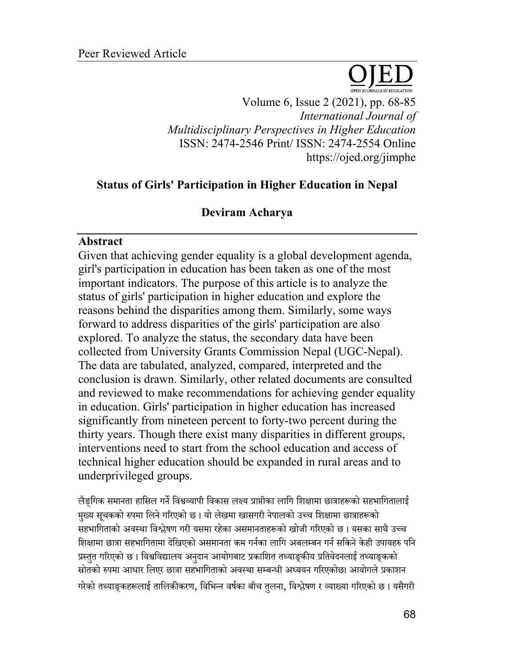

Volume 6, Issue 2 (2021), pp. 68-85 *International Journal of Multidisciplinary Perspectives in Higher Education* ISSN: 2474-2546 Print/ ISSN: 2474-2554 Online https://ojed.org/jimphe

## **Status of Girls' Participation in Higher Education in Nepal**

## **Deviram Acharya**

## **Abstract**

Given that achieving gender equality is a global development agenda, girl's participation in education has been taken as one of the most important indicators. The purpose of this article is to analyze the status of girls' participation in higher education and explore the reasons behind the disparities among them. Similarly, some ways forward to address disparities of the girls' participation are also explored. To analyze the status, the secondary data have been collected from University Grants Commission Nepal (UGC-Nepal). The data are tabulated, analyzed, compared, interpreted and the conclusion is drawn. Similarly, other related documents are consulted and reviewed to make recommendations for achieving gender equality in education. Girls' participation in higher education has increased significantly from nineteen percent to forty-two percent during the thirty years. Though there exist many disparities in different groups, interventions need to start from the school education and access of technical higher education should be expanded in rural areas and to underprivileged groups.

लैङगिक समानता हासिल गर्ने विश्वव्यापी विकास लक्ष्य प्राप्तीका लागि शिक्षामा छात्राहरूको सहभागितालाई मुख्य सूचकको रुपमा लिने गरिएको छ । यो लेखमा खासगरी नेपालको उच्च शिक्षामा छात्राहरूको सहभागिताको अवस्था विश्लेषण गरी यसमा रहेका असमानताहरूको खोजी गरिएको छ । यसका साथै उच्च शिक्षामा छात्रा सहभागितामा देखिएको असमानता कम गर्नका लागि अबलम्बन गर्न सकिने केही उपायहरु पनि प्रस्तुत गरिएको छ । विश्वविद्यालय अनुदान आयोगबाट प्रकाशित तथ्याङ्कीय प्रतिवेदनलाई तथ्याङ्कको स्रोतको रुपमा आधार लिएर छात्रा सहभागिताको अवस्था सम्बन्धी अध्ययन गरिएकोछ। आयोगले प्रकाशन गरेको तथ्याङकहरूलाई तालिकीकरण, विभिन्न वर्षका बीच तलना, विश्लेषण र व्याख्या गरिएको छ। यसैगरी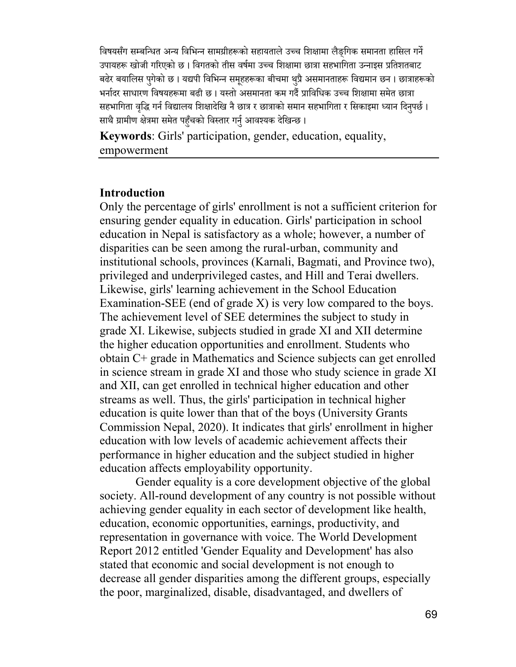विषयसँग सम्बन्धित अन्य विभिन्न सामग्रीहरूको सहायताले उच्च शिक्षामा लैङगिक समानता हासिल गर्ने उपायहरू खोजी गरिएको छ । विगतको तीस वर्षमा उच्च शिक्षामा छात्रा सहभागिता उन्नाइस प्रतिशतबाट बढेर बयालिस पुगेको छ । यद्यपी विभिन्न समुहहरूका बीचमा थुप्रै असमानताहरू विद्यमान छन । छात्राहरूको भर्नादर साधारण विषयहरूमा बढी छ । यस्तो असमानता कम गर्दै प्राविधिक उच्च शिक्षामा समेत छात्रा सहभागिता वृद्धि गर्न विद्यालय शिक्षादेखि नै छात्र र छात्राको समान सहभागिता र सिकाइमा ध्यान दिनुपर्छ । साथै ग्रामीण क्षेत्रमा समेत पहुँचको विस्तार गर्नु आवश्यक देखिन्छ ।

**Keywords**: Girls' participation, gender, education, equality, empowerment

#### **Introduction**

Only the percentage of girls' enrollment is not a sufficient criterion for ensuring gender equality in education. Girls' participation in school education in Nepal is satisfactory as a whole; however, a number of disparities can be seen among the rural-urban, community and institutional schools, provinces (Karnali, Bagmati, and Province two), privileged and underprivileged castes, and Hill and Terai dwellers. Likewise, girls' learning achievement in the School Education Examination-SEE (end of grade X) is very low compared to the boys. The achievement level of SEE determines the subject to study in grade XI. Likewise, subjects studied in grade XI and XII determine the higher education opportunities and enrollment. Students who obtain C+ grade in Mathematics and Science subjects can get enrolled in science stream in grade XI and those who study science in grade XI and XII, can get enrolled in technical higher education and other streams as well. Thus, the girls' participation in technical higher education is quite lower than that of the boys (University Grants Commission Nepal, 2020). It indicates that girls' enrollment in higher education with low levels of academic achievement affects their performance in higher education and the subject studied in higher education affects employability opportunity.

Gender equality is a core development objective of the global society. All-round development of any country is not possible without achieving gender equality in each sector of development like health, education, economic opportunities, earnings, productivity, and representation in governance with voice. The World Development Report 2012 entitled 'Gender Equality and Development' has also stated that economic and social development is not enough to decrease all gender disparities among the different groups, especially the poor, marginalized, disable, disadvantaged, and dwellers of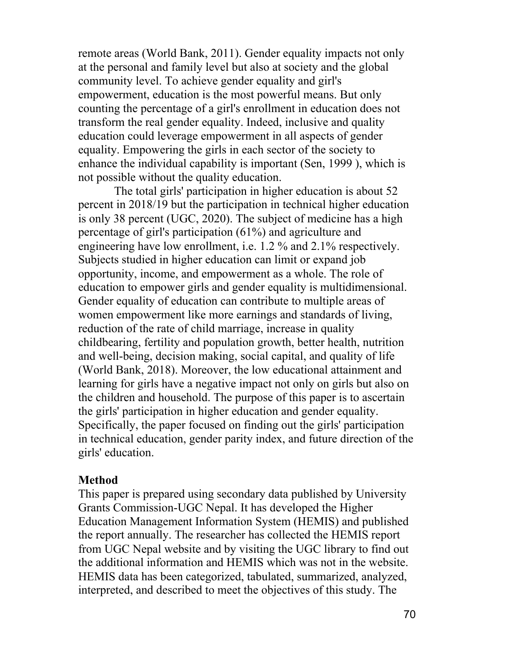remote areas (World Bank, 2011). Gender equality impacts not only at the personal and family level but also at society and the global community level. To achieve gender equality and girl's empowerment, education is the most powerful means. But only counting the percentage of a girl's enrollment in education does not transform the real gender equality. Indeed, inclusive and quality education could leverage empowerment in all aspects of gender equality. Empowering the girls in each sector of the society to enhance the individual capability is important (Sen, 1999 ), which is not possible without the quality education.

The total girls' participation in higher education is about 52 percent in 2018/19 but the participation in technical higher education is only 38 percent (UGC, 2020). The subject of medicine has a high percentage of girl's participation (61%) and agriculture and engineering have low enrollment, i.e. 1.2 % and 2.1% respectively. Subjects studied in higher education can limit or expand job opportunity, income, and empowerment as a whole. The role of education to empower girls and gender equality is multidimensional. Gender equality of education can contribute to multiple areas of women empowerment like more earnings and standards of living, reduction of the rate of child marriage, increase in quality childbearing, fertility and population growth, better health, nutrition and well-being, decision making, social capital, and quality of life (World Bank, 2018). Moreover, the low educational attainment and learning for girls have a negative impact not only on girls but also on the children and household. The purpose of this paper is to ascertain the girls' participation in higher education and gender equality. Specifically, the paper focused on finding out the girls' participation in technical education, gender parity index, and future direction of the girls' education.

#### **Method**

This paper is prepared using secondary data published by University Grants Commission-UGC Nepal. It has developed the Higher Education Management Information System (HEMIS) and published the report annually. The researcher has collected the HEMIS report from UGC Nepal website and by visiting the UGC library to find out the additional information and HEMIS which was not in the website. HEMIS data has been categorized, tabulated, summarized, analyzed, interpreted, and described to meet the objectives of this study. The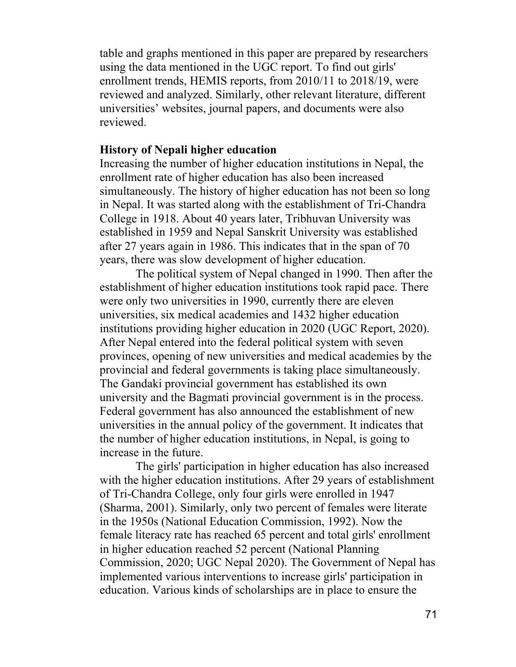table and graphs mentioned in this paper are prepared by researchers using the data mentioned in the UGC report. To find out girls' enrollment trends, HEMIS reports, from 2010/11 to 2018/19, were reviewed and analyzed. Similarly, other relevant literature, different universities' websites, journal papers, and documents were also reviewed.

#### **History of Nepali higher education**

Increasing the number of higher education institutions in Nepal, the enrollment rate of higher education has also been increased simultaneously. The history of higher education has not been so long in Nepal. It was started along with the establishment of Tri-Chandra College in 1918. About 40 years later, Tribhuvan University was established in 1959 and Nepal Sanskrit University was established after 27 years again in 1986. This indicates that in the span of 70 years, there was slow development of higher education.

The political system of Nepal changed in 1990. Then after the establishment of higher education institutions took rapid pace. There were only two universities in 1990, currently there are eleven universities, six medical academies and 1432 higher education institutions providing higher education in 2020 (UGC Report, 2020). After Nepal entered into the federal political system with seven provinces, opening of new universities and medical academies by the provincial and federal governments is taking place simultaneously. The Gandaki provincial government has established its own university and the Bagmati provincial government is in the process. Federal government has also announced the establishment of new universities in the annual policy of the government. It indicates that the number of higher education institutions, in Nepal, is going to increase in the future.

The girls' participation in higher education has also increased with the higher education institutions. After 29 years of establishment of Tri-Chandra College, only four girls were enrolled in 1947 (Sharma, 2001). Similarly, only two percent of females were literate in the 1950s (National Education Commission, 1992). Now the female literacy rate has reached 65 percent and total girls' enrollment in higher education reached 52 percent (National Planning Commission, 2020; UGC Nepal 2020). The Government of Nepal has implemented various interventions to increase girls' participation in education. Various kinds of scholarships are in place to ensure the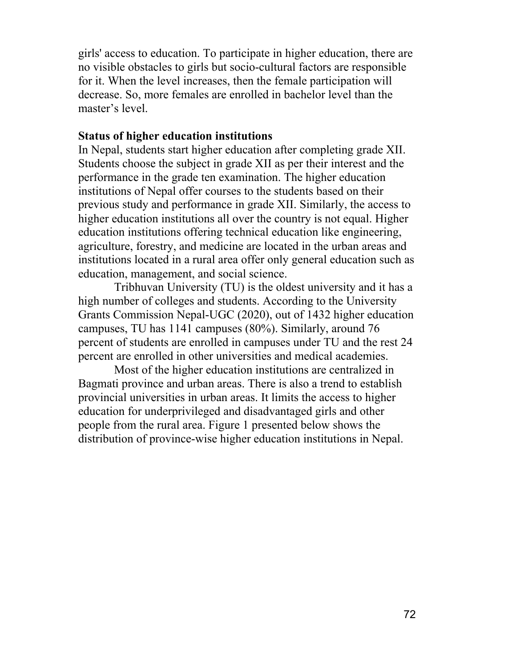girls' access to education. To participate in higher education, there are no visible obstacles to girls but socio-cultural factors are responsible for it. When the level increases, then the female participation will decrease. So, more females are enrolled in bachelor level than the master's level.

#### **Status of higher education institutions**

In Nepal, students start higher education after completing grade XII. Students choose the subject in grade XII as per their interest and the performance in the grade ten examination. The higher education institutions of Nepal offer courses to the students based on their previous study and performance in grade XII. Similarly, the access to higher education institutions all over the country is not equal. Higher education institutions offering technical education like engineering, agriculture, forestry, and medicine are located in the urban areas and institutions located in a rural area offer only general education such as education, management, and social science.

Tribhuvan University (TU) is the oldest university and it has a high number of colleges and students. According to the University Grants Commission Nepal-UGC (2020), out of 1432 higher education campuses, TU has 1141 campuses (80%). Similarly, around 76 percent of students are enrolled in campuses under TU and the rest 24 percent are enrolled in other universities and medical academies.

Most of the higher education institutions are centralized in Bagmati province and urban areas. There is also a trend to establish provincial universities in urban areas. It limits the access to higher education for underprivileged and disadvantaged girls and other people from the rural area. Figure 1 presented below shows the distribution of province-wise higher education institutions in Nepal.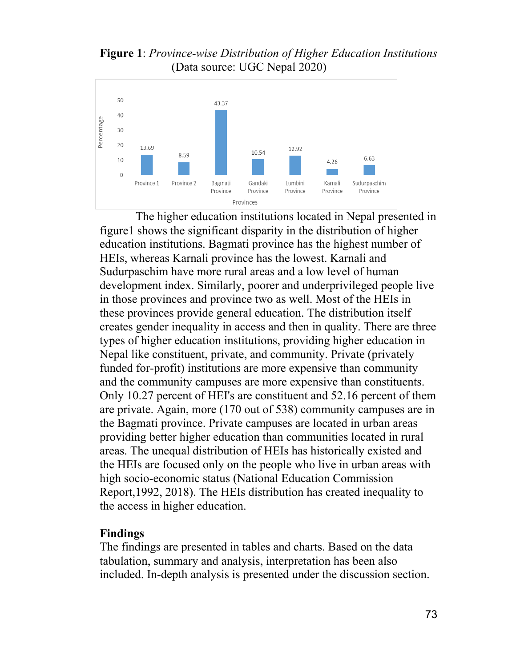**Figure 1**: *Province-wise Distribution of Higher Education Institutions* (Data source: UGC Nepal 2020)



The higher education institutions located in Nepal presented in figure1 shows the significant disparity in the distribution of higher education institutions. Bagmati province has the highest number of HEIs, whereas Karnali province has the lowest. Karnali and Sudurpaschim have more rural areas and a low level of human development index. Similarly, poorer and underprivileged people live in those provinces and province two as well. Most of the HEIs in these provinces provide general education. The distribution itself creates gender inequality in access and then in quality. There are three types of higher education institutions, providing higher education in Nepal like constituent, private, and community. Private (privately funded for-profit) institutions are more expensive than community and the community campuses are more expensive than constituents. Only 10.27 percent of HEI's are constituent and 52.16 percent of them are private. Again, more (170 out of 538) community campuses are in the Bagmati province. Private campuses are located in urban areas providing better higher education than communities located in rural areas. The unequal distribution of HEIs has historically existed and the HEIs are focused only on the people who live in urban areas with high socio-economic status (National Education Commission Report,1992, 2018). The HEIs distribution has created inequality to the access in higher education.

### **Findings**

The findings are presented in tables and charts. Based on the data tabulation, summary and analysis, interpretation has been also included. In-depth analysis is presented under the discussion section.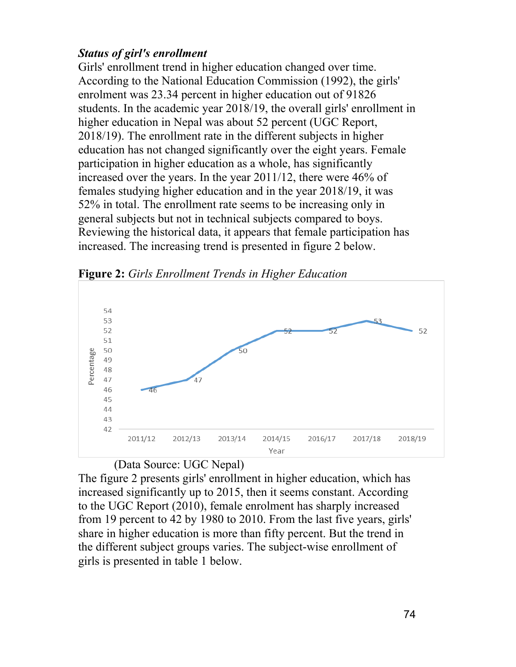# *Status of girl's enrollment*

Girls' enrollment trend in higher education changed over time. According to the National Education Commission (1992), the girls' enrolment was 23.34 percent in higher education out of 91826 students. In the academic year 2018/19, the overall girls' enrollment in higher education in Nepal was about 52 percent (UGC Report, 2018/19). The enrollment rate in the different subjects in higher education has not changed significantly over the eight years. Female participation in higher education as a whole, has significantly increased over the years. In the year 2011/12, there were 46% of females studying higher education and in the year 2018/19, it was 52% in total. The enrollment rate seems to be increasing only in general subjects but not in technical subjects compared to boys. Reviewing the historical data, it appears that female participation has increased. The increasing trend is presented in figure 2 below.



**Figure 2:** *Girls Enrollment Trends in Higher Education*

(Data Source: UGC Nepal)

The figure 2 presents girls' enrollment in higher education, which has increased significantly up to 2015, then it seems constant. According to the UGC Report (2010), female enrolment has sharply increased from 19 percent to 42 by 1980 to 2010. From the last five years, girls' share in higher education is more than fifty percent. But the trend in the different subject groups varies. The subject-wise enrollment of girls is presented in table 1 below.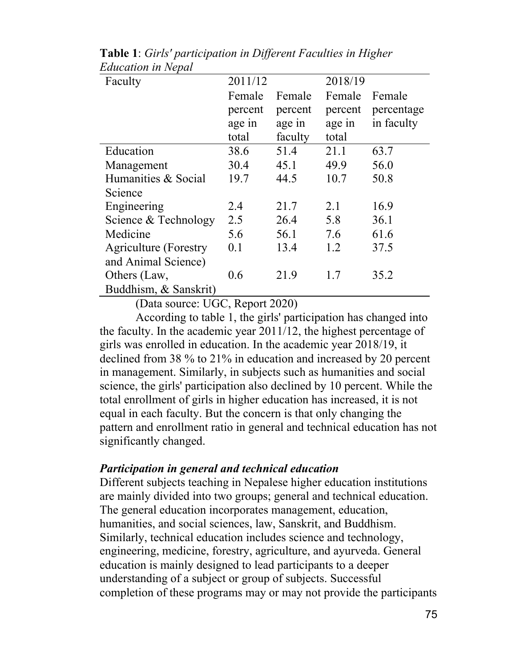| Faculty                      | 2011/12 |         | 2018/19 |            |
|------------------------------|---------|---------|---------|------------|
|                              | Female  | Female  | Female  | Female     |
|                              | percent | percent | percent | percentage |
|                              | age in  | age in  | age in  | in faculty |
|                              | total   | faculty | total   |            |
| Education                    | 38.6    | 51.4    | 21.1    | 63.7       |
| Management                   | 30.4    | 45.1    | 49.9    | 56.0       |
| Humanities & Social          | 19.7    | 44.5    | 10.7    | 50.8       |
| Science                      |         |         |         |            |
| Engineering                  | 2.4     | 21.7    | 2.1     | 16.9       |
| Science & Technology         | 2.5     | 26.4    | 5.8     | 36.1       |
| Medicine                     | 5.6     | 56.1    | 7.6     | 61.6       |
| <b>Agriculture</b> (Forestry | 0.1     | 13.4    | 1.2     | 37.5       |
| and Animal Science)          |         |         |         |            |
| Others (Law,                 | 0.6     | 21.9    | 1.7     | 35.2       |
| Buddhism, & Sanskrit)        |         |         |         |            |

**Table 1**: *Girls' participation in Different Faculties in Higher Education in Nepal*

(Data source: UGC, Report 2020)

According to table 1, the girls' participation has changed into the faculty. In the academic year 2011/12, the highest percentage of girls was enrolled in education. In the academic year 2018/19, it declined from 38 % to 21% in education and increased by 20 percent in management. Similarly, in subjects such as humanities and social science, the girls' participation also declined by 10 percent. While the total enrollment of girls in higher education has increased, it is not equal in each faculty. But the concern is that only changing the pattern and enrollment ratio in general and technical education has not significantly changed.

#### *Participation in general and technical education*

Different subjects teaching in Nepalese higher education institutions are mainly divided into two groups; general and technical education. The general education incorporates management, education, humanities, and social sciences, law, Sanskrit, and Buddhism. Similarly, technical education includes science and technology, engineering, medicine, forestry, agriculture, and ayurveda. General education is mainly designed to lead participants to a deeper understanding of a subject or group of subjects. Successful completion of these programs may or may not provide the participants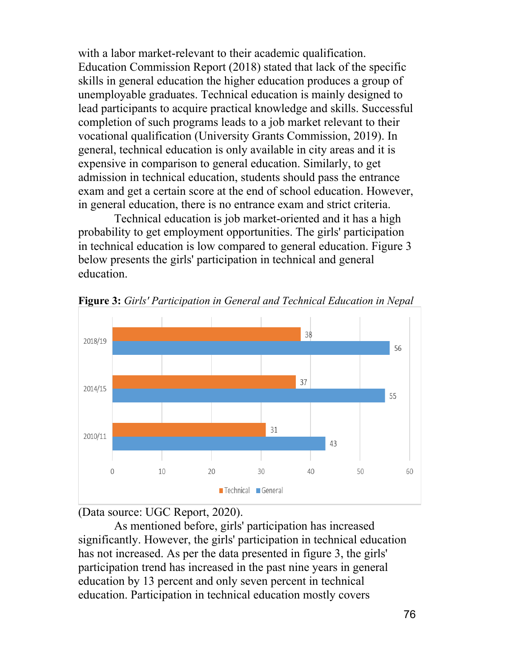with a labor market-relevant to their academic qualification. Education Commission Report (2018) stated that lack of the specific skills in general education the higher education produces a group of unemployable graduates. Technical education is mainly designed to lead participants to acquire practical knowledge and skills. Successful completion of such programs leads to a job market relevant to their vocational qualification (University Grants Commission, 2019). In general, technical education is only available in city areas and it is expensive in comparison to general education. Similarly, to get admission in technical education, students should pass the entrance exam and get a certain score at the end of school education. However, in general education, there is no entrance exam and strict criteria.

Technical education is job market-oriented and it has a high probability to get employment opportunities. The girls' participation in technical education is low compared to general education. Figure 3 below presents the girls' participation in technical and general education.



**Figure 3:** *Girls' Participation in General and Technical Education in Nepal*

(Data source: UGC Report, 2020).

As mentioned before, girls' participation has increased significantly. However, the girls' participation in technical education has not increased. As per the data presented in figure 3, the girls' participation trend has increased in the past nine years in general education by 13 percent and only seven percent in technical education. Participation in technical education mostly covers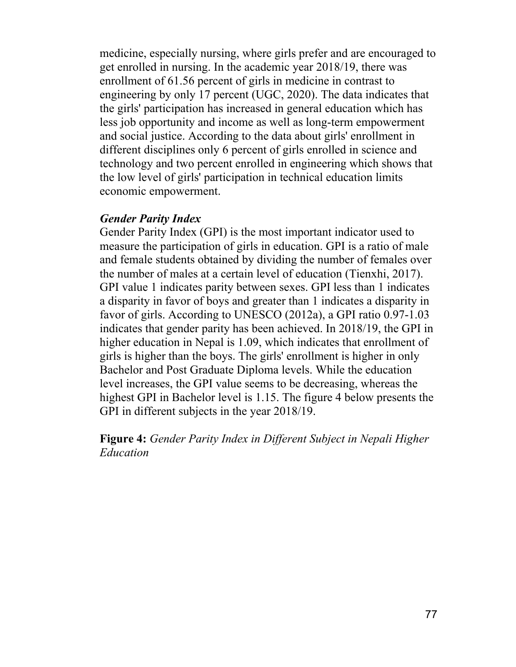medicine, especially nursing, where girls prefer and are encouraged to get enrolled in nursing. In the academic year 2018/19, there was enrollment of 61.56 percent of girls in medicine in contrast to engineering by only 17 percent (UGC, 2020). The data indicates that the girls' participation has increased in general education which has less job opportunity and income as well as long-term empowerment and social justice. According to the data about girls' enrollment in different disciplines only 6 percent of girls enrolled in science and technology and two percent enrolled in engineering which shows that the low level of girls' participation in technical education limits economic empowerment.

### *Gender Parity Index*

Gender Parity Index (GPI) is the most important indicator used to measure the participation of girls in education. GPI is a ratio of male and female students obtained by dividing the number of females over the number of males at a certain level of education (Tienxhi, 2017). GPI value 1 indicates parity between sexes. GPI less than 1 indicates a disparity in favor of boys and greater than 1 indicates a disparity in favor of girls. According to UNESCO (2012a), a GPI ratio 0.97-1.03 indicates that gender parity has been achieved. In 2018/19, the GPI in higher education in Nepal is 1.09, which indicates that enrollment of girls is higher than the boys. The girls' enrollment is higher in only Bachelor and Post Graduate Diploma levels. While the education level increases, the GPI value seems to be decreasing, whereas the highest GPI in Bachelor level is 1.15. The figure 4 below presents the GPI in different subjects in the year 2018/19.

**Figure 4:** *Gender Parity Index in Different Subject in Nepali Higher Education*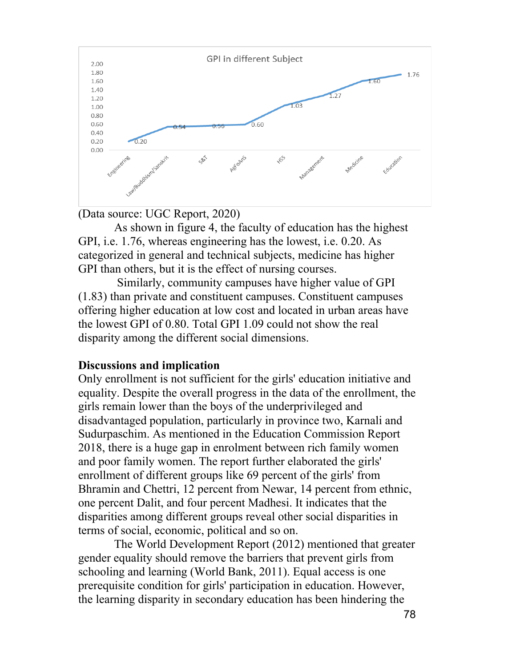



As shown in figure 4, the faculty of education has the highest GPI, i.e. 1.76, whereas engineering has the lowest, i.e. 0.20. As categorized in general and technical subjects, medicine has higher GPI than others, but it is the effect of nursing courses.

Similarly, community campuses have higher value of GPI (1.83) than private and constituent campuses. Constituent campuses offering higher education at low cost and located in urban areas have the lowest GPI of 0.80. Total GPI 1.09 could not show the real disparity among the different social dimensions.

#### **Discussions and implication**

Only enrollment is not sufficient for the girls' education initiative and equality. Despite the overall progress in the data of the enrollment, the girls remain lower than the boys of the underprivileged and disadvantaged population, particularly in province two, Karnali and Sudurpaschim. As mentioned in the Education Commission Report 2018, there is a huge gap in enrolment between rich family women and poor family women. The report further elaborated the girls' enrollment of different groups like 69 percent of the girls' from Bhramin and Chettri, 12 percent from Newar, 14 percent from ethnic, one percent Dalit, and four percent Madhesi. It indicates that the disparities among different groups reveal other social disparities in terms of social, economic, political and so on.

The World Development Report (2012) mentioned that greater gender equality should remove the barriers that prevent girls from schooling and learning (World Bank, 2011). Equal access is one prerequisite condition for girls' participation in education. However, the learning disparity in secondary education has been hindering the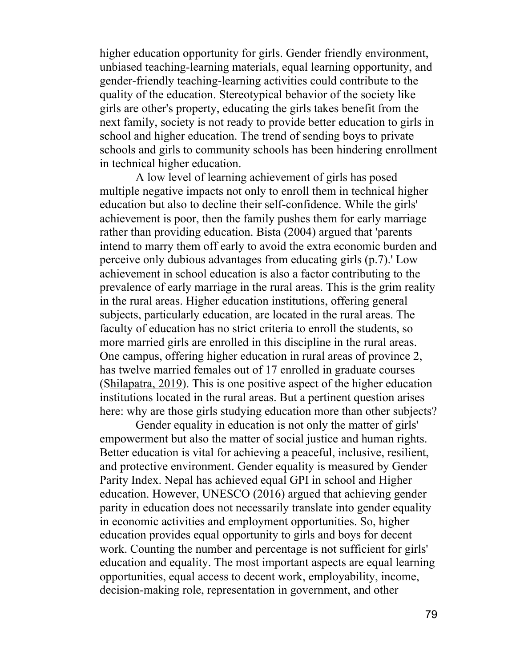higher education opportunity for girls. Gender friendly environment, unbiased teaching-learning materials, equal learning opportunity, and gender-friendly teaching-learning activities could contribute to the quality of the education. Stereotypical behavior of the society like girls are other's property, educating the girls takes benefit from the next family, society is not ready to provide better education to girls in school and higher education. The trend of sending boys to private schools and girls to community schools has been hindering enrollment in technical higher education.

A low level of learning achievement of girls has posed multiple negative impacts not only to enroll them in technical higher education but also to decline their self-confidence. While the girls' achievement is poor, then the family pushes them for early marriage rather than providing education. Bista (2004) argued that 'parents intend to marry them off early to avoid the extra economic burden and perceive only dubious advantages from educating girls (p.7).' Low achievement in school education is also a factor contributing to the prevalence of early marriage in the rural areas. This is the grim reality in the rural areas. Higher education institutions, offering general subjects, particularly education, are located in the rural areas. The faculty of education has no strict criteria to enroll the students, so more married girls are enrolled in this discipline in the rural areas. One campus, offering higher education in rural areas of province 2, has twelve married females out of 17 enrolled in graduate courses (Shilapatra, 2019). This is one positive aspect of the higher education institutions located in the rural areas. But a pertinent question arises here: why are those girls studying education more than other subjects?

Gender equality in education is not only the matter of girls' empowerment but also the matter of social justice and human rights. Better education is vital for achieving a peaceful, inclusive, resilient, and protective environment. Gender equality is measured by Gender Parity Index. Nepal has achieved equal GPI in school and Higher education. However, UNESCO (2016) argued that achieving gender parity in education does not necessarily translate into gender equality in economic activities and employment opportunities. So, higher education provides equal opportunity to girls and boys for decent work. Counting the number and percentage is not sufficient for girls' education and equality. The most important aspects are equal learning opportunities, equal access to decent work, employability, income, decision-making role, representation in government, and other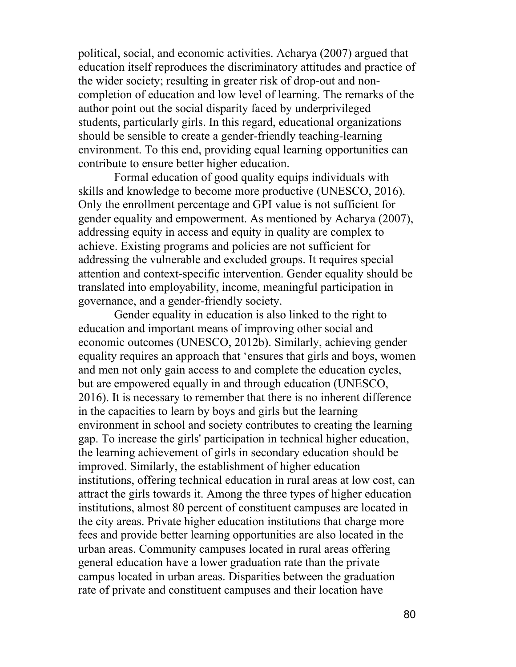political, social, and economic activities. Acharya (2007) argued that education itself reproduces the discriminatory attitudes and practice of the wider society; resulting in greater risk of drop-out and noncompletion of education and low level of learning. The remarks of the author point out the social disparity faced by underprivileged students, particularly girls. In this regard, educational organizations should be sensible to create a gender-friendly teaching-learning environment. To this end, providing equal learning opportunities can contribute to ensure better higher education.

Formal education of good quality equips individuals with skills and knowledge to become more productive (UNESCO, 2016). Only the enrollment percentage and GPI value is not sufficient for gender equality and empowerment. As mentioned by Acharya (2007), addressing equity in access and equity in quality are complex to achieve. Existing programs and policies are not sufficient for addressing the vulnerable and excluded groups. It requires special attention and context-specific intervention. Gender equality should be translated into employability, income, meaningful participation in governance, and a gender-friendly society.

Gender equality in education is also linked to the right to education and important means of improving other social and economic outcomes (UNESCO, 2012b). Similarly, achieving gender equality requires an approach that 'ensures that girls and boys, women and men not only gain access to and complete the education cycles, but are empowered equally in and through education (UNESCO, 2016). It is necessary to remember that there is no inherent difference in the capacities to learn by boys and girls but the learning environment in school and society contributes to creating the learning gap. To increase the girls' participation in technical higher education, the learning achievement of girls in secondary education should be improved. Similarly, the establishment of higher education institutions, offering technical education in rural areas at low cost, can attract the girls towards it. Among the three types of higher education institutions, almost 80 percent of constituent campuses are located in the city areas. Private higher education institutions that charge more fees and provide better learning opportunities are also located in the urban areas. Community campuses located in rural areas offering general education have a lower graduation rate than the private campus located in urban areas. Disparities between the graduation rate of private and constituent campuses and their location have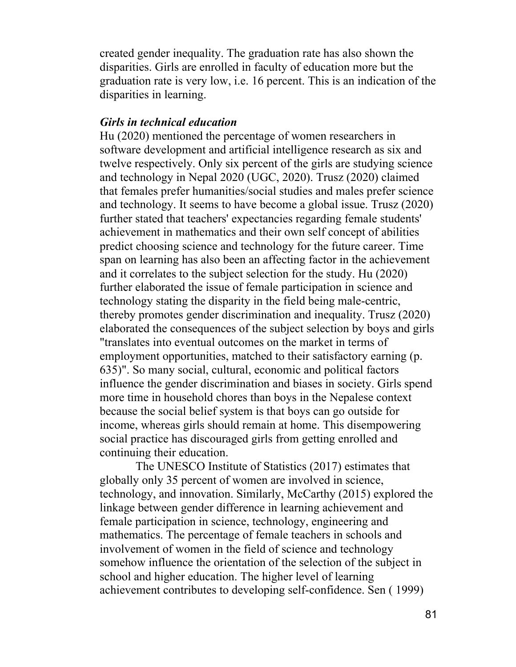created gender inequality. The graduation rate has also shown the disparities. Girls are enrolled in faculty of education more but the graduation rate is very low, i.e. 16 percent. This is an indication of the disparities in learning.

## *Girls in technical education*

Hu (2020) mentioned the percentage of women researchers in software development and artificial intelligence research as six and twelve respectively. Only six percent of the girls are studying science and technology in Nepal 2020 (UGC, 2020). Trusz (2020) claimed that females prefer humanities/social studies and males prefer science and technology. It seems to have become a global issue. Trusz (2020) further stated that teachers' expectancies regarding female students' achievement in mathematics and their own self concept of abilities predict choosing science and technology for the future career. Time span on learning has also been an affecting factor in the achievement and it correlates to the subject selection for the study. Hu (2020) further elaborated the issue of female participation in science and technology stating the disparity in the field being male-centric, thereby promotes gender discrimination and inequality. Trusz (2020) elaborated the consequences of the subject selection by boys and girls "translates into eventual outcomes on the market in terms of employment opportunities, matched to their satisfactory earning (p. 635)". So many social, cultural, economic and political factors influence the gender discrimination and biases in society. Girls spend more time in household chores than boys in the Nepalese context because the social belief system is that boys can go outside for income, whereas girls should remain at home. This disempowering social practice has discouraged girls from getting enrolled and continuing their education.

The UNESCO Institute of Statistics (2017) estimates that globally only 35 percent of women are involved in science, technology, and innovation. Similarly, McCarthy (2015) explored the linkage between gender difference in learning achievement and female participation in science, technology, engineering and mathematics. The percentage of female teachers in schools and involvement of women in the field of science and technology somehow influence the orientation of the selection of the subject in school and higher education. The higher level of learning achievement contributes to developing self-confidence. Sen ( 1999)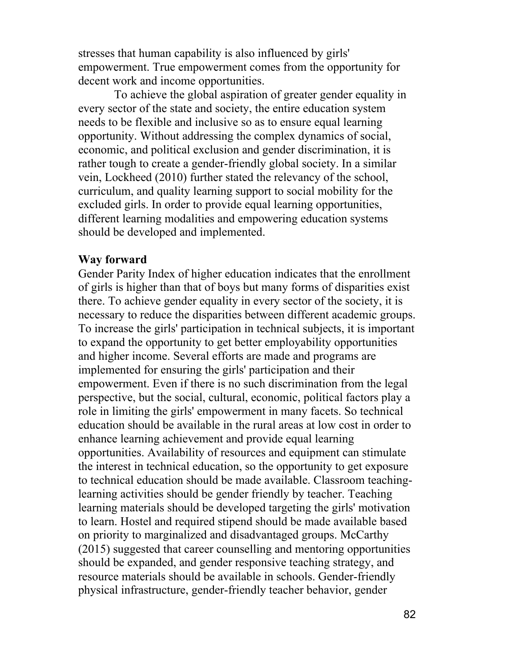stresses that human capability is also influenced by girls' empowerment. True empowerment comes from the opportunity for decent work and income opportunities.

To achieve the global aspiration of greater gender equality in every sector of the state and society, the entire education system needs to be flexible and inclusive so as to ensure equal learning opportunity. Without addressing the complex dynamics of social, economic, and political exclusion and gender discrimination, it is rather tough to create a gender-friendly global society. In a similar vein, Lockheed (2010) further stated the relevancy of the school, curriculum, and quality learning support to social mobility for the excluded girls. In order to provide equal learning opportunities, different learning modalities and empowering education systems should be developed and implemented.

#### **Way forward**

Gender Parity Index of higher education indicates that the enrollment of girls is higher than that of boys but many forms of disparities exist there. To achieve gender equality in every sector of the society, it is necessary to reduce the disparities between different academic groups. To increase the girls' participation in technical subjects, it is important to expand the opportunity to get better employability opportunities and higher income. Several efforts are made and programs are implemented for ensuring the girls' participation and their empowerment. Even if there is no such discrimination from the legal perspective, but the social, cultural, economic, political factors play a role in limiting the girls' empowerment in many facets. So technical education should be available in the rural areas at low cost in order to enhance learning achievement and provide equal learning opportunities. Availability of resources and equipment can stimulate the interest in technical education, so the opportunity to get exposure to technical education should be made available. Classroom teachinglearning activities should be gender friendly by teacher. Teaching learning materials should be developed targeting the girls' motivation to learn. Hostel and required stipend should be made available based on priority to marginalized and disadvantaged groups. McCarthy (2015) suggested that career counselling and mentoring opportunities should be expanded, and gender responsive teaching strategy, and resource materials should be available in schools. Gender-friendly physical infrastructure, gender-friendly teacher behavior, gender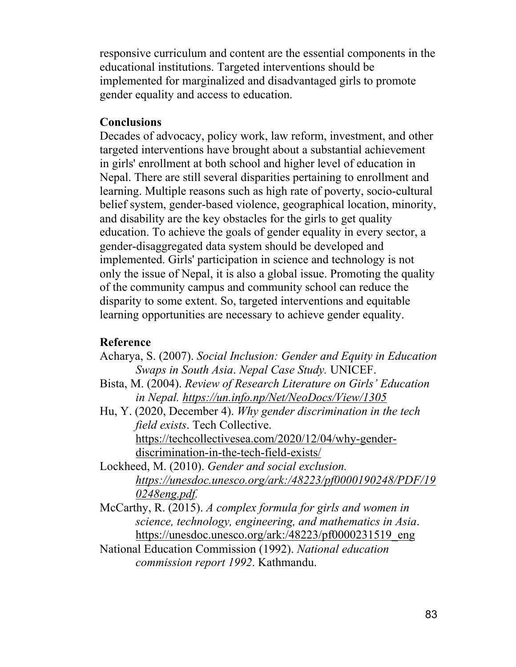responsive curriculum and content are the essential components in the educational institutions. Targeted interventions should be implemented for marginalized and disadvantaged girls to promote gender equality and access to education.

## **Conclusions**

Decades of advocacy, policy work, law reform, investment, and other targeted interventions have brought about a substantial achievement in girls' enrollment at both school and higher level of education in Nepal. There are still several disparities pertaining to enrollment and learning. Multiple reasons such as high rate of poverty, socio-cultural belief system, gender-based violence, geographical location, minority, and disability are the key obstacles for the girls to get quality education. To achieve the goals of gender equality in every sector, a gender-disaggregated data system should be developed and implemented. Girls' participation in science and technology is not only the issue of Nepal, it is also a global issue. Promoting the quality of the community campus and community school can reduce the disparity to some extent. So, targeted interventions and equitable learning opportunities are necessary to achieve gender equality.

## **Reference**

- Acharya, S. (2007). *Social Inclusion: Gender and Equity in Education Swaps in South Asia*. *Nepal Case Study.* UNICEF.
- Bista, M. (2004). *Review of Research Literature on Girls' Education in Nepal. https://un.info.np/Net/NeoDocs/View/1305*
- Hu, Y. (2020, December 4). *Why gender discrimination in the tech field exists*. Tech Collective. https://techcollectivesea.com/2020/12/04/why-genderdiscrimination-in-the-tech-field-exists/
- Lockheed, M. (2010). *Gender and social exclusion. https://unesdoc.unesco.org/ark:/48223/pf0000190248/PDF/19 0248eng.pdf.*
- McCarthy, R. (2015). *A complex formula for girls and women in science, technology, engineering, and mathematics in Asia*. https://unesdoc.unesco.org/ark:/48223/pf0000231519\_eng
- National Education Commission (1992). *National education commission report 1992*. Kathmandu.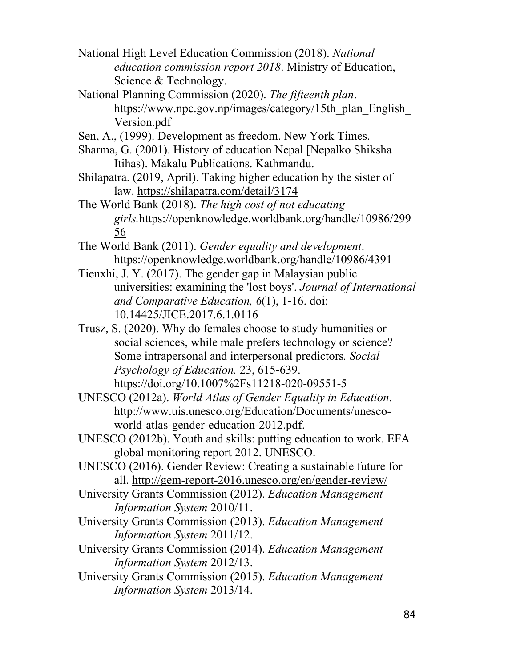- National High Level Education Commission (2018). *National education commission report 2018*. Ministry of Education, Science & Technology.
- National Planning Commission (2020). *The fifteenth plan*. https://www.npc.gov.np/images/category/15th\_plan\_English\_ Version.pdf
- Sen, A., (1999). Development as freedom. New York Times.
- Sharma, G. (2001). History of education Nepal [Nepalko Shiksha Itihas). Makalu Publications. Kathmandu.
- Shilapatra. (2019, April). Taking higher education by the sister of law. https://shilapatra.com/detail/3174
- The World Bank (2018). *The high cost of not educating girls.*https://openknowledge.worldbank.org/handle/10986/299 56
- The World Bank (2011). *Gender equality and development*. https://openknowledge.worldbank.org/handle/10986/4391
- Tienxhi, J. Y. (2017). The gender gap in Malaysian public universities: examining the 'lost boys'. *Journal of International and Comparative Education, 6*(1), 1-16. doi: 10.14425/JICE.2017.6.1.0116
- Trusz, S. (2020). Why do females choose to study humanities or social sciences, while male prefers technology or science? Some intrapersonal and interpersonal predictors*. Social Psychology of Education.* 23, 615-639.
- https://doi.org/10.1007%2Fs11218-020-09551-5 UNESCO (2012a). *World Atlas of Gender Equality in Education*. http://www.uis.unesco.org/Education/Documents/unesco
	- world-atlas-gender-education-2012.pdf.
- UNESCO (2012b). Youth and skills: putting education to work. EFA global monitoring report 2012. UNESCO.
- UNESCO (2016). Gender Review: Creating a sustainable future for all. http://gem-report-2016.unesco.org/en/gender-review/
- University Grants Commission (2012). *Education Management Information System* 2010/11.
- University Grants Commission (2013). *Education Management Information System* 2011/12.
- University Grants Commission (2014). *Education Management Information System* 2012/13.
- University Grants Commission (2015). *Education Management Information System* 2013/14.